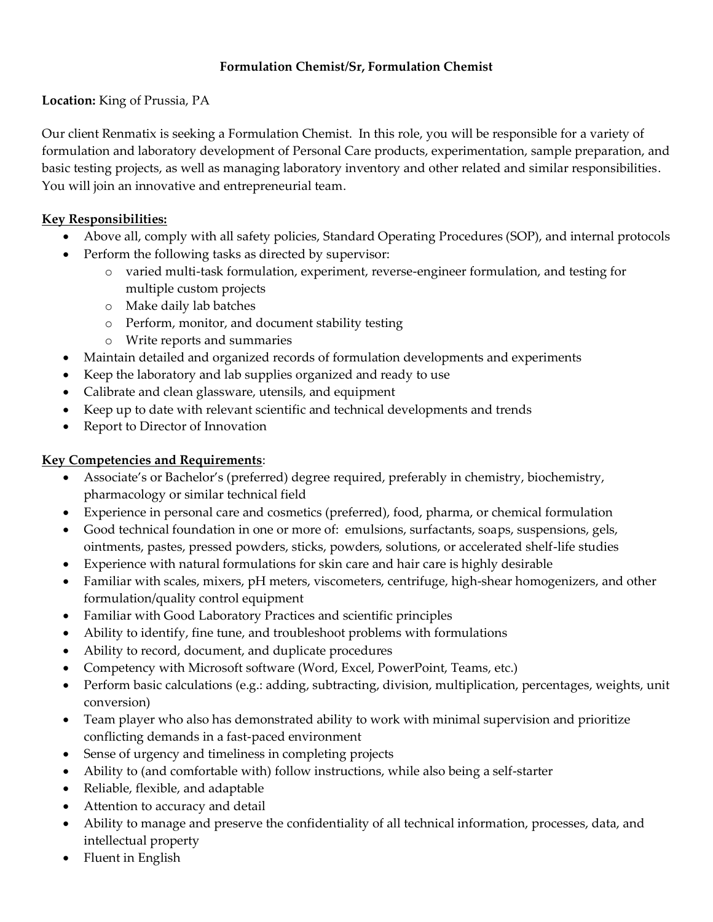## **Formulation Chemist/Sr, Formulation Chemist**

## **Location:** King of Prussia, PA

Our client Renmatix is seeking a Formulation Chemist. In this role, you will be responsible for a variety of formulation and laboratory development of Personal Care products, experimentation, sample preparation, and basic testing projects, as well as managing laboratory inventory and other related and similar responsibilities. You will join an innovative and entrepreneurial team.

# **Key Responsibilities:**

- Above all, comply with all safety policies, Standard Operating Procedures (SOP), and internal protocols
- Perform the following tasks as directed by supervisor:
	- o varied multi-task formulation, experiment, reverse-engineer formulation, and testing for multiple custom projects
	- o Make daily lab batches
	- o Perform, monitor, and document stability testing
	- o Write reports and summaries
- Maintain detailed and organized records of formulation developments and experiments
- Keep the laboratory and lab supplies organized and ready to use
- Calibrate and clean glassware, utensils, and equipment
- Keep up to date with relevant scientific and technical developments and trends
- Report to Director of Innovation

# **Key Competencies and Requirements**:

- Associate's or Bachelor's (preferred) degree required, preferably in chemistry, biochemistry, pharmacology or similar technical field
- Experience in personal care and cosmetics (preferred), food, pharma, or chemical formulation
- Good technical foundation in one or more of: emulsions, surfactants, soaps, suspensions, gels, ointments, pastes, pressed powders, sticks, powders, solutions, or accelerated shelf-life studies
- Experience with natural formulations for skin care and hair care is highly desirable
- Familiar with scales, mixers, pH meters, viscometers, centrifuge, high-shear homogenizers, and other formulation/quality control equipment
- Familiar with Good Laboratory Practices and scientific principles
- Ability to identify, fine tune, and troubleshoot problems with formulations
- Ability to record, document, and duplicate procedures
- Competency with Microsoft software (Word, Excel, PowerPoint, Teams, etc.)
- Perform basic calculations (e.g.: adding, subtracting, division, multiplication, percentages, weights, unit conversion)
- Team player who also has demonstrated ability to work with minimal supervision and prioritize conflicting demands in a fast-paced environment
- Sense of urgency and timeliness in completing projects
- Ability to (and comfortable with) follow instructions, while also being a self-starter
- Reliable, flexible, and adaptable
- Attention to accuracy and detail
- Ability to manage and preserve the confidentiality of all technical information, processes, data, and intellectual property
- Fluent in English